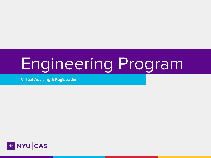# Engineering Program

**Virtual Advising & Registration**

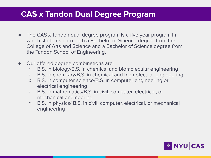## **CAS x Tandon Dual Degree Program**

- The CAS x Tandon dual degree program is a five year program in which students earn both a Bachelor of Science degree from the College of Arts and Science and a Bachelor of Science degree from the Tandon School of Engineering.
- Our offered degree combinations are:
	- B.S. in biology/B.S. in chemical and biomolecular engineering
	- B.S. in chemistry/B.S. in chemical and biomolecular engineering
	- B.S. in computer science/B.S. in computer engineering or electrical engineering
	- B.S. in mathematics/B.S. in civil, computer, electrical, or mechanical engineering
	- B.S. in physics/ B.S. in civil, computer, electrical, or mechanical engineering

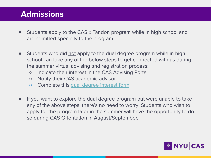# **Admissions**

- Students apply to the CAS x Tandon program while in high school and are admitted specially to the program
- Students who did not apply to the dual degree program while in high school can take any of the below steps to get connected with us during the summer virtual advising and registration process:
	- Indicate their interest in the CAS Advising Portal
	- Notify their CAS academic advisor
	- Complete this [dual degree interest form](https://forms.gle/Zsh1FfvzfxjimLsr8)
- If you want to explore the dual degree program but were unable to take any of the above steps, there's no need to worry! Students who wish to apply for the program later in the summer will have the opportunity to do so during CAS Orientation in August/September.

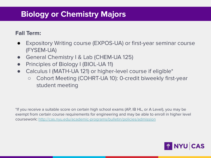### **Biology or Chemistry Majors**

#### **Fall Term:**

- Expository Writing course (EXPOS-UA) or first-year seminar course (FYSEM-UA)
- General Chemistry I & Lab (CHEM-UA 125)
- Principles of Biology I (BIOL-UA 11)
- Calculus I (MATH-UA 121) or higher-level course if eligible\*
	- Cohort Meeting (COHRT-UA 10): 0-credit biweekly first-year student meeting

\*If you receive a suitable score on certain high school exams (AP, IB HL, or A Level), you may be exempt from certain course requirements for engineering and may be able to enroll in higher level coursework: [http://cas.nyu.edu/academic-programs/bulletin/policies/admission](http://cas.nyu.edu/academic-programs/bulletin/policies/admission.html)

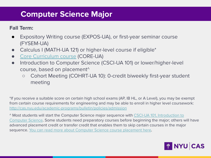## **Computer Science Major**

#### **Fall Term:**

- Expository Writing course (EXPOS-UA), or first-year seminar course (FYSEM-UA)
- Calculus I (MATH-UA 121) or higher-level course if eligible<sup>\*</sup>
- [Core Curriculum course](https://cas.nyu.edu/core.html) (CORE-UA)
- Introduction to Computer Science (CSCI-UA 101) or lower/higher-level course, based on placement^
	- Cohort Meeting (COHRT-UA 10): 0-credit biweekly first-year student meeting

\*If you receive a suitable score on certain high school exams (AP, IB HL, or A Level), you may be exempt from certain course requirements for engineering and may be able to enroll in higher level coursework: [http://cas.nyu.edu/academic-programs/bulletin/policies/admission](http://cas.nyu.edu/academic-programs/bulletin/policies/admission.html)

^ Most students will start the Computer Science major sequence with [CSCI-UA 101, Introduction to](https://cs.nyu.edu/dynamic/courses/catalog/#csci-ua0101) [Computer Science.](https://cs.nyu.edu/dynamic/courses/catalog/#csci-ua0101) Some students need preparatory courses before beginning the major; others will have advanced placement credit or transfer credit that enables them to skip certain courses in the major sequence. [You can read more about Computer Science course placement here](https://cs.nyu.edu/home/undergrad/placement.html).

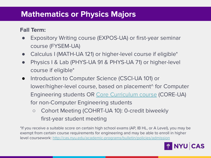#### **Mathematics or Physics Majors**

#### **Fall Term:**

- Expository Writing course (EXPOS-UA) or first-year seminar course (FYSEM-UA)
- Calculus I (MATH-UA 121) or higher-level course if eligible\*
- Physics I & Lab (PHYS-UA 91 & PHYS-UA 71) or higher-level course if eligible\*
- Introduction to Computer Science (CSCI-UA 101) or lower/higher-level course, based on placement^ for Computer Engineering students OR [Core Curriculum course](https://cas.nyu.edu/core.html) (CORE-UA) for non-Computer Engineering students
	- Cohort Meeting (COHRT-UA 10): 0-credit biweekly first-year student meeting

\*If you receive a suitable score on certain high school exams (AP, IB HL, or A Level), you may be exempt from certain course requirements for engineering and may be able to enroll in higher level coursework: [http://cas.nyu.edu/academic-programs/bulletin/policies/admission](http://cas.nyu.edu/academic-programs/bulletin/policies/admission.html)

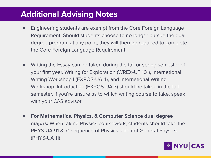### **Additional Advising Notes**

- Engineering students are exempt from the Core Foreign Language Requirement. Should students choose to no longer pursue the dual degree program at any point, they will then be required to complete the Core Foreign Language Requirement.
- Writing the Essay can be taken during the fall or spring semester of your first year. Writing for Exploration (WREX-UF 101), International Writing Workshop I (EXPOS-UA 4), and International Writing Workshop: Introduction (EXPOS-UA 3) should be taken in the fall semester. If you're unsure as to which writing course to take, speak with your CAS advisor!
- **● For Mathematics, Physics, & Computer Science dual degree majors:** When taking Physics coursework, students should take the PHYS-UA 91 & 71 sequence of Physics, and not General Physics (PHYS-UA 11)

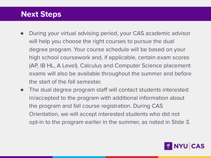#### **Next Steps**

- During your virtual advising period, your CAS academic advisor will help you choose the right courses to pursue the dual degree program. Your course schedule will be based on your high school coursework and, if applicable, certain exam scores (AP, IB HL, A Level). Calculus and Computer Science placement exams will also be available throughout the summer and before the start of the fall semester.
- The dual degree program staff will contact students interested in/accepted to the program with additional information about the program and fall course registration. During CAS Orientation, we will accept interested students who did not opt-in to the program earlier in the summer, as noted in Slide 3.